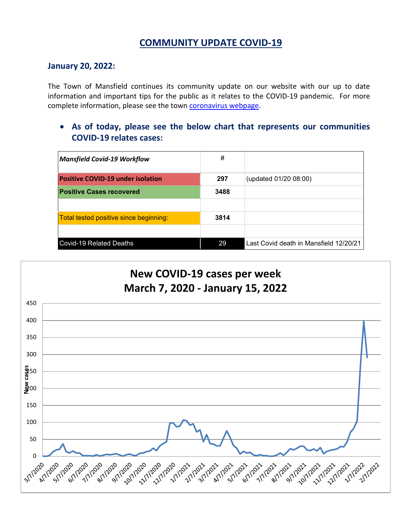## **COMMUNITY UPDATE COVID-19**

#### **January 20, 2022:**

The Town of Mansfield continues its community update on our website with our up to date information and important tips for the public as it relates to the COVID-19 pandemic. For more complete information, please see the town [coronavirus webpage.](https://www.mansfieldma.com/536/Coronavirus-Information)

• **As of today, please see the below chart that represents our communities COVID-19 relates cases:**

| <b>Mansfield Covid-19 Workflow</b>       | #    |                                        |
|------------------------------------------|------|----------------------------------------|
| <b>Positive COVID-19 under isolation</b> | 297  | (updated 01/20 08:00)                  |
| <b>Positive Cases recovered</b>          | 3488 |                                        |
|                                          |      |                                        |
| Total tested positive since beginning:   | 3814 |                                        |
|                                          |      |                                        |
| <b>Covid-19 Related Deaths</b>           | 29   | Last Covid death in Mansfield 12/20/21 |

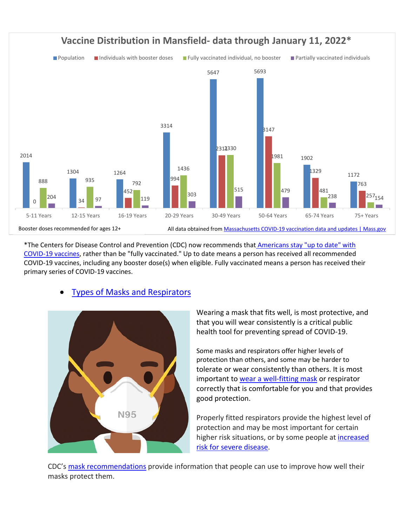

\*The Centers for Disease Control and Prevention (CDC) now recommends that Americans [stay "up to date" with](https://www.cdc.gov/coronavirus/2019-ncov/vaccines/stay-up-to-date.html)  [COVID-19 vaccines,](https://www.cdc.gov/coronavirus/2019-ncov/vaccines/stay-up-to-date.html) rather than be "fully vaccinated." Up to date means a person has received all recommended COVID-19 vaccines, including any booster dose(s) when eligible. Fully vaccinated means a person has received their primary series of COVID-19 vaccines.

#### • [Types of Masks and Respirators](https://www.cdc.gov/coronavirus/2019-ncov/prevent-getting-sick/types-of-masks.html)



Wearing a mask that fits well, is most protective, and that you will wear consistently is a critical public health tool for preventing spread of COVID-19.

Some masks and respirators offer higher levels of protection than others, and some may be harder to tolerate or wear consistently than others. It is most important to [wear a well-fitting mask](https://protect-us.mimecast.com/s/gUX7CKrzl2IW7RKSoDFWb?domain=t.emailupdates.cdc.gov) or respirator correctly that is comfortable for you and that provides good protection.

Properly fitted respirators provide the highest level of protection and may be most important for certain higher risk situations, or by some people at *increased* [risk for severe disease.](https://protect-us.mimecast.com/s/a3gRCL90m2H9BzqtKEYRP?domain=t.emailupdates.cdc.gov)

CDC's [mask recommendations](https://protect-us.mimecast.com/s/Zz9CCM8Nn2s3BnPUOx20V?domain=t.emailupdates.cdc.gov) provide information that people can use to improve how well their masks protect them.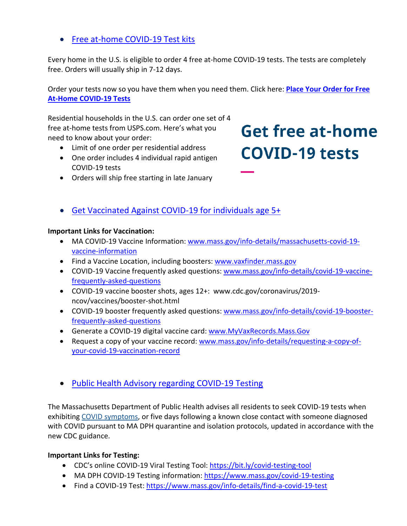## • [Free at-home COVID-19 Test kits](https://www.covidtests.gov/)

Every home in the U.S. is eligible to order 4 free at-home COVID-19 tests. The tests are completely free. Orders will usually ship in 7-12 days.

Order your tests now so you have them when you need them. Click here: **[Place Your Order for Free](https://special.usps.com/testkits)  [At-Home COVID-19 Tests](https://special.usps.com/testkits)**

Residential households in the U.S. can order one set of 4 free at-home tests from USPS.com. Here's what you need to know about your order:

- Limit of one order per residential address
- One order includes 4 individual rapid antigen COVID-19 tests
- Orders will ship free starting in late January

# **Get free at-home COVID-19 tests**

• [Get Vaccinated Against COVID-19](https://www.mass.gov/covid-19-vaccine) for individuals age 5+

#### **Important Links for Vaccination:**

- MA COVID-19 Vaccine Information: [www.mass.gov/info-details/massachusetts-covid-19](http://www.mass.gov/info-details/massachusetts-covid-19-vaccine-information) [vaccine-information](http://www.mass.gov/info-details/massachusetts-covid-19-vaccine-information)
- Find a Vaccine Location, including boosters: [www.vaxfinder.mass.gov](http://www.vaxfinder.mass.gov/)
- COVID-19 Vaccine frequently asked questions: [www.mass.gov/info-details/covid-19-vaccine](http://www.mass.gov/info-details/covid-19-vaccine-frequently-asked-questions)[frequently-asked-questions](http://www.mass.gov/info-details/covid-19-vaccine-frequently-asked-questions)
- COVID-19 vaccine booster shots, ages 12+: www.cdc.gov/coronavirus/2019 ncov/vaccines/booster-shot.html
- COVID-19 booster frequently asked questions: [www.mass.gov/info-details/covid-19-booster](http://www.mass.gov/info-details/covid-19-booster-frequently-asked-questions)[frequently-asked-questions](http://www.mass.gov/info-details/covid-19-booster-frequently-asked-questions)
- Generate a COVID-19 digital vaccine card: [www.MyVaxRecords.Mass.Gov](http://www.myvaxrecords.mass.gov/)
- Request a copy of your vaccine record: [www.mass.gov/info-details/requesting-a-copy-of](http://www.mass.gov/info-details/requesting-a-copy-of-your-covid-19-vaccination-record)[your-covid-19-vaccination-record](http://www.mass.gov/info-details/requesting-a-copy-of-your-covid-19-vaccination-record)
- [Public Health Advisory regarding COVID-19 Testing](https://www.mass.gov/advisory/public-health-advisory-regarding-covid-19-testing)

The Massachusetts Department of Public Health advises all residents to seek COVID-19 tests when exhibiting [COVID symptoms,](https://www.mass.gov/info-details/about-covid-19#symptoms-) or five days following a known close contact with someone diagnosed with COVID pursuant to MA DPH quarantine and isolation protocols, updated in accordance with the new CDC guidance.

#### **Important Links for Testing:**

- CDC's online COVID-19 Viral Testing Tool: [https://bit.ly/covid-testing-tool](https://bit.ly/covid-testing-tool?fbclid=IwAR2ddn7qeVY_b_v0O-rkK3en8x-EPMGTVlQDDSNZxwhZrjtH_hTNHEzYKP8)
- MA DPH COVID-19 Testing information:<https://www.mass.gov/covid-19-testing>
- Find a COVID-19 Test:<https://www.mass.gov/info-details/find-a-covid-19-test>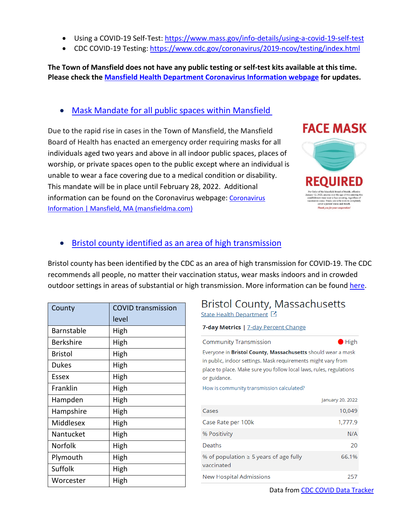- Using a COVID-19 Self-Test:<https://www.mass.gov/info-details/using-a-covid-19-self-test>
- CDC COVID-19 Testing:<https://www.cdc.gov/coronavirus/2019-ncov/testing/index.html>

**The Town of Mansfield does not have any public testing or self-test kits available at this time. Please check the [Mansfield Health Department Coronavirus Information webpage](https://www.mansfieldma.com/536/Coronavirus-Information) for updates.** 

### • Mask [Mandate for all public spaces within Mansfield](https://www.cdc.gov/coronavirus/2019-ncov/prevent-getting-sick/about-face-coverings.html)

Due to the rapid rise in cases in the Town of Mansfield, the Mansfield Board of Health has enacted an emergency order requiring masks for all individuals aged two years and above in all indoor public spaces, places of worship, or private spaces open to the public except where an individual is unable to wear a face covering due to a medical condition or disability. This mandate will be in place until February 28, 2022. Additional information can be found on the Coronavirus webpage: [Coronavirus](https://www.mansfieldma.com/536/Coronavirus-Information)  [Information | Mansfield, MA \(mansfieldma.com\)](https://www.mansfieldma.com/536/Coronavirus-Information)



## • [Bristol county identified as an area of high](https://covid.cdc.gov/covid-data-tracker/#county-view) transmission

Bristol county has been identified by the CDC as an area of high transmission for COVID-19. The CDC recommends all people, no matter their vaccination status, wear masks indoors and in crowded outdoor settings in areas of substantial or high transmission. More information can be found [here.](https://www.cdc.gov/coronavirus/2019-ncov/prevent-getting-sick/diy-cloth-face-coverings.html)

| County         | <b>COVID transmission</b> |
|----------------|---------------------------|
|                | level                     |
| Barnstable     | High                      |
| Berkshire      | High                      |
| Bristol        | High                      |
| <b>Dukes</b>   | High                      |
| Essex          | High                      |
| Franklin       | High                      |
| Hampden        | High                      |
| Hampshire      | High                      |
| Middlesex      | High                      |
| Nantucket      | High                      |
| <b>Norfolk</b> | High                      |
| Plymouth       | High                      |
| Suffolk        | High                      |
| Worcester      | High                      |

## **Bristol County, Massachusetts** State Health Department [2]

#### 7-day Metrics | 7-day Percent Change

| <b>Community Transmission</b>                                                                                                                                                                                               | $\blacksquare$ High |  |
|-----------------------------------------------------------------------------------------------------------------------------------------------------------------------------------------------------------------------------|---------------------|--|
| Everyone in <b>Bristol County, Massachusetts</b> should wear a mask<br>in public, indoor settings. Mask requirements might vary from<br>place to place. Make sure you follow local laws, rules, regulations<br>or guidance. |                     |  |
| How is community transmission calculated?                                                                                                                                                                                   |                     |  |
|                                                                                                                                                                                                                             | January 20, 2022    |  |
| Cases                                                                                                                                                                                                                       | 10,049              |  |
| Case Rate per 100k                                                                                                                                                                                                          | 1,777.9             |  |
| % Positivity                                                                                                                                                                                                                | N/A                 |  |
| Deaths                                                                                                                                                                                                                      | 20                  |  |
| % of population $\geq 5$ years of age fully<br>vaccinated                                                                                                                                                                   | 66.1%               |  |
| New Hospital Admissions                                                                                                                                                                                                     | 257                 |  |
|                                                                                                                                                                                                                             |                     |  |